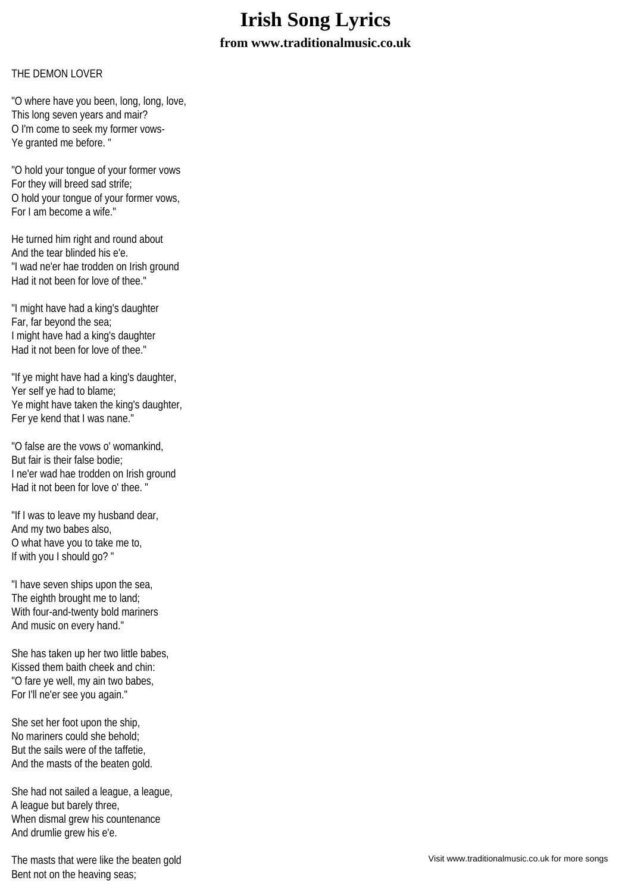## **Irish Song Lyrics from www.traditionalmusic.co.uk**

## THE DEMON LOVER

"O where have you been, long, long, love, This long seven years and mair? O I'm come to seek my former vows-Ye granted me before. "

"O hold your tongue of your former vows For they will breed sad strife; O hold your tongue of your former vows, For I am become a wife."

He turned him right and round about And the tear blinded his e'e. "I wad ne'er hae trodden on Irish ground Had it not been for love of thee."

"I might have had a king's daughter Far, far beyond the sea; I might have had a king's daughter Had it not been for love of thee."

"If ye might have had a king's daughter, Yer self ye had to blame; Ye might have taken the king's daughter, Fer ye kend that I was nane."

"O false are the vows o' womankind, But fair is their false bodie; I ne'er wad hae trodden on Irish ground Had it not been for love o' thee. "

"If I was to leave my husband dear, And my two babes also, O what have you to take me to, If with you I should go? "

"I have seven ships upon the sea, The eighth brought me to land; With four-and-twenty bold mariners And music on every hand."

She has taken up her two little babes, Kissed them baith cheek and chin: "O fare ye well, my ain two babes, For I'll ne'er see you again."

She set her foot upon the ship, No mariners could she behold; But the sails were of the taffetie, And the masts of the beaten gold.

She had not sailed a league, a league, A league but barely three, When dismal grew his countenance And drumlie grew his e'e.